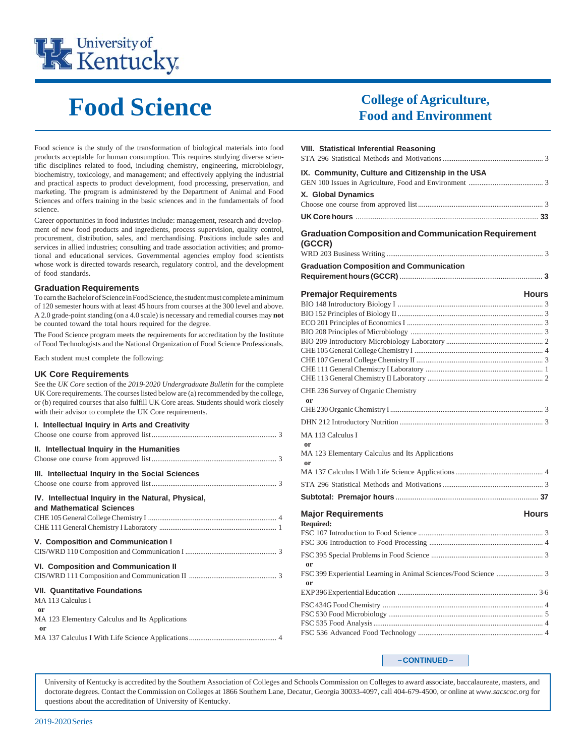

# **Food Science**

Food science is the study of the transformation of biological materials into food products acceptable for human consumption. This requires studying diverse scientific disciplines related to food, including chemistry, engineering, microbiology, biochemistry, toxicology, and management; and effectively applying the industrial and practical aspects to product development, food processing, preservation, and marketing. The program is administered by the Department of Animal and Food Sciences and offers training in the basic sciences and in the fundamentals of food science.

Career opportunities in food industries include: management, research and development of new food products and ingredients, process supervision, quality control, procurement, distribution, sales, and merchandising. Positions include sales and services in allied industries; consulting and trade association activities; and promotional and educational services. Governmental agencies employ food scientists whose work is directed towards research, regulatory control, and the development of food standards.

#### **Graduation Requirements**

To earn the Bachelor of Science in Food Science, the student must complete a minimum of 120 semester hours with at least 45 hours from courses at the 300 level and above. A 2.0 grade-point standing (on a 4.0 scale) is necessary and remedial courses may **not** be counted toward the total hours required for the degree.

The Food Science program meets the requirements for accreditation by the Institute of Food Technologists and the National Organization of Food Science Professionals.

Each student must complete the following:

#### **UK Core Requirements**

See the *UK Core* section of the *2019-2020 Undergraduate Bulletin* for the complete UK Core requirements. The courses listed below are (a) recommended by the college, or (b) required courses that also fulfill UK Core areas. Students should work closely with their advisor to complete the UK Core requirements.

#### **I. Intellectual Inquiry in Arts and Creativity**

| II. Intellectual Inquiry in the Humanities                                                                         |
|--------------------------------------------------------------------------------------------------------------------|
| III. Intellectual Inquiry in the Social Sciences                                                                   |
| IV. Intellectual Inquiry in the Natural, Physical,<br>and Mathematical Sciences                                    |
| V. Composition and Communication I                                                                                 |
| <b>VI. Composition and Communication II</b>                                                                        |
| <b>VII. Quantitative Foundations</b><br>MA 113 Calculus I<br>or<br>MA 123 Elementary Calculus and Its Applications |
| or                                                                                                                 |

### **College of Agriculture, Food and Environment**

| <b>VIII. Statistical Inferential Reasoning</b>                        |
|-----------------------------------------------------------------------|
| IX. Community, Culture and Citizenship in the USA                     |
| X. Global Dynamics                                                    |
|                                                                       |
| <b>Graduation Composition and Communication Requirement</b><br>(GCCR) |
| <b>Graduation Composition and Communication</b>                       |
|                                                                       |
| <b>Premajor Requirements</b><br><b>Hours</b>                          |
|                                                                       |
|                                                                       |
|                                                                       |
|                                                                       |
|                                                                       |
|                                                                       |
|                                                                       |
|                                                                       |
| CHE 236 Survey of Organic Chemistry<br><sub>or</sub>                  |
|                                                                       |
|                                                                       |
| MA 113 Calculus I<br>or                                               |
| MA 123 Elementary Calculus and Its Applications                       |
| or                                                                    |
|                                                                       |
|                                                                       |
| <b>Major Requirements</b><br><b>Hours</b><br>Required:                |
|                                                                       |
|                                                                       |
| <b>or</b>                                                             |
|                                                                       |
|                                                                       |
|                                                                       |

**– CONTINUED –**

University of Kentucky is accredited by the Southern Association of Colleges and Schools Commission on Colleges to award associate, baccalaureate, masters, and doctorate degrees. Contact the Commission on Colleges at 1866 Southern Lane, Decatur, Georgia 30033-4097, call 404-679-4500, or online at *www.sacscoc.org* for questions about the accreditation of University of Kentucky.